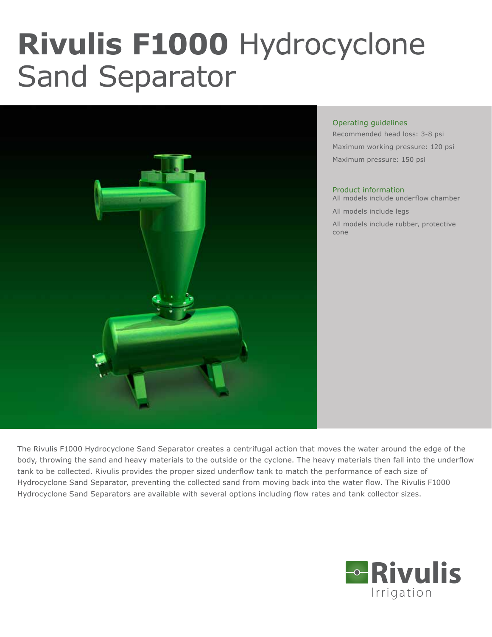# **Rivulis F1000** Hydrocyclone Sand Separator



#### Operating guidelines

Recommended head loss: 3-8 psi Maximum working pressure: 120 psi Maximum pressure: 150 psi

#### Product information

All models include underflow chamber

All models include legs

All models include rubber, protective cone

The Rivulis F1000 Hydrocyclone Sand Separator creates a centrifugal action that moves the water around the edge of the body, throwing the sand and heavy materials to the outside or the cyclone. The heavy materials then fall into the underflow tank to be collected. Rivulis provides the proper sized underflow tank to match the performance of each size of Hydrocyclone Sand Separator, preventing the collected sand from moving back into the water flow. The Rivulis F1000 Hydrocyclone Sand Separators are available with several options including flow rates and tank collector sizes.